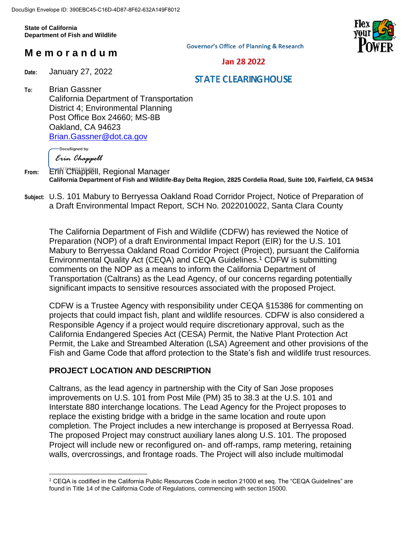**State of California Department of Fish and Wildlife**

# **M e m o r a n d u m**

**Governor's Office of Planning & Research** 



Jan 28 2022

#### **Date:** January 27, 2022

### **STATE CLEARING HOUSE**

**To:** Brian Gassner California Department of Transportation District 4; Environmental Planning Post Office Box 24660; MS-8B Oakland, CA 94623 [Brian.Gassner@dot.ca.gov](mailto:Brian.Gassner@dot.ca.gov)

DocuSigned by: Erin Chappell

**Subject:** U.S. 101 Mabury to Berryessa Oakland Road Corridor Project, Notice of Preparation of a Draft Environmental Impact Report, SCH No. 2022010022, Santa Clara County

The California Department of Fish and Wildlife (CDFW) has reviewed the Notice of Preparation (NOP) of a draft Environmental Impact Report (EIR) for the U.S. 101 Mabury to Berryessa Oakland Road Corridor Project (Project), pursuant the California Environmental Quality Act (CEQA) and CEQA Guidelines.<sup>1</sup> CDFW is submitting comments on the NOP as a means to inform the California Department of Transportation (Caltrans) as the Lead Agency, of our concerns regarding potentially significant impacts to sensitive resources associated with the proposed Project.

CDFW is a Trustee Agency with responsibility under CEQA §15386 for commenting on projects that could impact fish, plant and wildlife resources. CDFW is also considered a Responsible Agency if a project would require discretionary approval, such as the California Endangered Species Act (CESA) Permit, the Native Plant Protection Act Permit, the Lake and Streambed Alteration (LSA) Agreement and other provisions of the Fish and Game Code that afford protection to the State's fish and wildlife trust resources.

### **PROJECT LOCATION AND DESCRIPTION**

Caltrans, as the lead agency in partnership with the City of San Jose proposes improvements on U.S. 101 from Post Mile (PM) 35 to 38.3 at the U.S. 101 and Interstate 880 interchange locations. The Lead Agency for the Project proposes to replace the existing bridge with a bridge in the same location and route upon completion. The Project includes a new interchange is proposed at Berryessa Road. The proposed Project may construct auxiliary lanes along U.S. 101. The proposed Project will include new or reconfigured on- and off-ramps, ramp metering, retaining walls, overcrossings, and frontage roads. The Project will also include multimodal

From: Erin<sup>"</sup> Chappell, Regional Manager **California Department of Fish and Wildlife-Bay Delta Region, 2825 Cordelia Road, Suite 100, Fairfield, CA 94534**

 $\overline{a}$ <sup>1</sup> CEQA is codified in the California Public Resources Code in section 21000 et seq. The "CEQA Guidelines" are found in Title 14 of the California Code of Regulations, commencing with section 15000.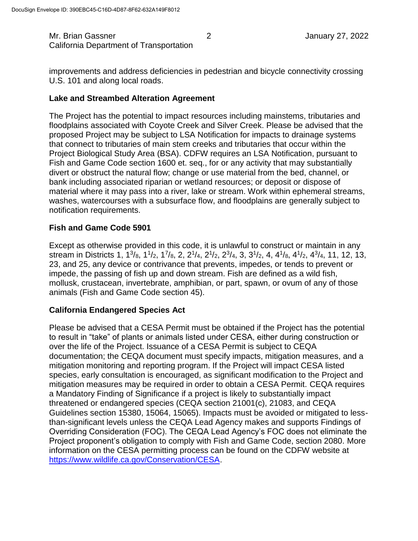Mr. Brian Gassner 2 2 January 27, 2022 California Department of Transportation

improvements and address deficiencies in pedestrian and bicycle connectivity crossing U.S. 101 and along local roads.

### **Lake and Streambed Alteration Agreement**

The Project has the potential to impact resources including mainstems, tributaries and floodplains associated with Coyote Creek and Silver Creek. Please be advised that the proposed Project may be subject to LSA Notification for impacts to drainage systems that connect to tributaries of main stem creeks and tributaries that occur within the Project Biological Study Area (BSA). CDFW requires an LSA Notification, pursuant to Fish and Game Code section 1600 et. seq., for or any activity that may substantially divert or obstruct the natural flow; change or use material from the bed, channel, or bank including associated riparian or wetland resources; or deposit or dispose of material where it may pass into a river, lake or stream. Work within ephemeral streams, washes, watercourses with a subsurface flow, and floodplains are generally subject to notification requirements.

### **Fish and Game Code 5901**

Except as otherwise provided in this code, it is unlawful to construct or maintain in any stream in Districts 1, 1<sup>3</sup>/8, 1<sup>1</sup>/2, 1<sup>7</sup>/8, 2, 2<sup>1</sup>/4, 2<sup>1</sup>/2, 2<sup>3</sup>/4, 3, 3<sup>1</sup>/2, 4, 4<sup>1</sup>/8, 4<sup>1</sup>/2, 4<sup>3</sup>/4, 11, 12, 13, 23, and 25, any device or contrivance that prevents, impedes, or tends to prevent or impede, the passing of fish up and down stream. Fish are defined as a wild fish, mollusk, crustacean, invertebrate, amphibian, or part, spawn, or ovum of any of those animals (Fish and Game Code section 45).

### **California Endangered Species Act**

Please be advised that a CESA Permit must be obtained if the Project has the potential to result in "take" of plants or animals listed under CESA, either during construction or over the life of the Project. Issuance of a CESA Permit is subject to CEQA documentation; the CEQA document must specify impacts, mitigation measures, and a mitigation monitoring and reporting program. If the Project will impact CESA listed species, early consultation is encouraged, as significant modification to the Project and mitigation measures may be required in order to obtain a CESA Permit. CEQA requires a Mandatory Finding of Significance if a project is likely to substantially impact threatened or endangered species (CEQA section 21001(c), 21083, and CEQA Guidelines section 15380, 15064, 15065). Impacts must be avoided or mitigated to lessthan-significant levels unless the CEQA Lead Agency makes and supports Findings of Overriding Consideration (FOC). The CEQA Lead Agency's FOC does not eliminate the Project proponent's obligation to comply with Fish and Game Code, section 2080. More information on the CESA permitting process can be found on the CDFW website at [https://www.wildlife.ca.gov/Conservation/CESA.](https://www.wildlife.ca.gov/Conservation/CESA)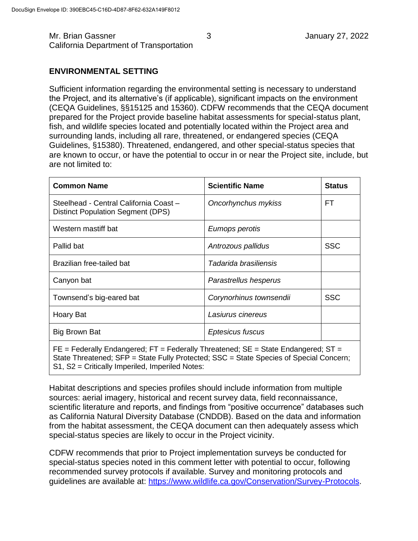### **ENVIRONMENTAL SETTING**

Sufficient information regarding the environmental setting is necessary to understand the Project, and its alternative's (if applicable), significant impacts on the environment (CEQA Guidelines, §§15125 and 15360). CDFW recommends that the CEQA document prepared for the Project provide baseline habitat assessments for special-status plant, fish, and wildlife species located and potentially located within the Project area and surrounding lands, including all rare, threatened, or endangered species (CEQA Guidelines, §15380). Threatened, endangered, and other special-status species that are known to occur, or have the potential to occur in or near the Project site, include, but are not limited to:

| <b>Common Name</b>                                                                  | <b>Scientific Name</b>  | <b>Status</b> |
|-------------------------------------------------------------------------------------|-------------------------|---------------|
| Steelhead - Central California Coast -<br><b>Distinct Population Segment (DPS)</b>  | Oncorhynchus mykiss     | FT            |
| Western mastiff bat                                                                 | Eumops perotis          |               |
| Pallid bat                                                                          | Antrozous pallidus      | <b>SSC</b>    |
| Brazilian free-tailed bat                                                           | Tadarida brasiliensis   |               |
| Canyon bat                                                                          | Parastrellus hesperus   |               |
| Townsend's big-eared bat                                                            | Corynorhinus townsendii | <b>SSC</b>    |
| Hoary Bat                                                                           | Lasiurus cinereus       |               |
| <b>Big Brown Bat</b>                                                                | Eptesicus fuscus        |               |
| $FE$ = Federally Endangered; FT = Federally Threatened; SE = State Endangered; ST = |                         |               |

State Threatened; SFP = State Fully Protected; SSC = State Species of Special Concern; S1, S2 = Critically Imperiled, Imperiled Notes:

Habitat descriptions and species profiles should include information from multiple sources: aerial imagery, historical and recent survey data, field reconnaissance, scientific literature and reports, and findings from "positive occurrence" databases such as California Natural Diversity Database (CNDDB). Based on the data and information from the habitat assessment, the CEQA document can then adequately assess which special-status species are likely to occur in the Project vicinity.

CDFW recommends that prior to Project implementation surveys be conducted for special-status species noted in this comment letter with potential to occur, following recommended survey protocols if available. Survey and monitoring protocols and guidelines are available at: [https://www.wildlife.ca.gov/Conservation/Survey-Protocols.](https://www.wildlife.ca.gov/Conservation/Survey-Protocols)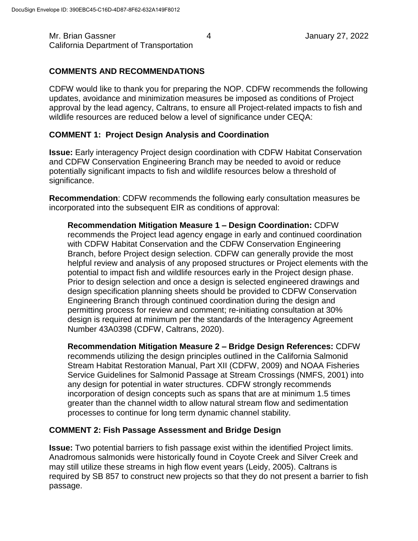# **COMMENTS AND RECOMMENDATIONS**

CDFW would like to thank you for preparing the NOP. CDFW recommends the following updates, avoidance and minimization measures be imposed as conditions of Project approval by the lead agency, Caltrans, to ensure all Project-related impacts to fish and wildlife resources are reduced below a level of significance under CEQA:

## **COMMENT 1: Project Design Analysis and Coordination**

**Issue:** Early interagency Project design coordination with CDFW Habitat Conservation and CDFW Conservation Engineering Branch may be needed to avoid or reduce potentially significant impacts to fish and wildlife resources below a threshold of significance.

**Recommendation**: CDFW recommends the following early consultation measures be incorporated into the subsequent EIR as conditions of approval:

**Recommendation Mitigation Measure 1 – Design Coordination:** CDFW recommends the Project lead agency engage in early and continued coordination with CDFW Habitat Conservation and the CDFW Conservation Engineering Branch, before Project design selection. CDFW can generally provide the most helpful review and analysis of any proposed structures or Project elements with the potential to impact fish and wildlife resources early in the Project design phase. Prior to design selection and once a design is selected engineered drawings and design specification planning sheets should be provided to CDFW Conservation Engineering Branch through continued coordination during the design and permitting process for review and comment; re-initiating consultation at 30% design is required at minimum per the standards of the Interagency Agreement Number 43A0398 (CDFW, Caltrans, 2020).

**Recommendation Mitigation Measure 2 – Bridge Design References:** CDFW recommends utilizing the design principles outlined in the California Salmonid Stream Habitat Restoration Manual, Part XII (CDFW, 2009) and NOAA Fisheries Service Guidelines for Salmonid Passage at Stream Crossings (NMFS, 2001) into any design for potential in water structures. CDFW strongly recommends incorporation of design concepts such as spans that are at minimum 1.5 times greater than the channel width to allow natural stream flow and sedimentation processes to continue for long term dynamic channel stability.

## **COMMENT 2: Fish Passage Assessment and Bridge Design**

**Issue:** Two potential barriers to fish passage exist within the identified Project limits. Anadromous salmonids were historically found in Coyote Creek and Silver Creek and may still utilize these streams in high flow event years (Leidy, 2005). Caltrans is required by SB 857 to construct new projects so that they do not present a barrier to fish passage.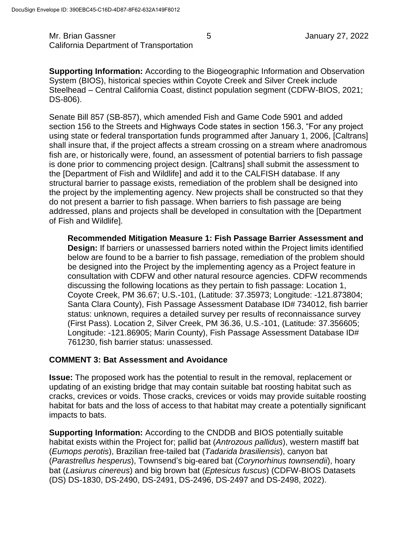Mr. Brian Gassner 1986 1991 120 States 1 States 1 States 1 January 27, 2022 California Department of Transportation

**Supporting Information:** According to the Biogeographic Information and Observation System (BIOS), historical species within Coyote Creek and Silver Creek include Steelhead – Central California Coast, distinct population segment (CDFW-BIOS, 2021; DS-806).

Senate Bill 857 (SB-857), which amended Fish and Game Code 5901 and added section 156 to the Streets and Highways Code states in section 156.3, "For any project using state or federal transportation funds programmed after January 1, 2006, [Caltrans] shall insure that, if the project affects a stream crossing on a stream where anadromous fish are, or historically were, found, an assessment of potential barriers to fish passage is done prior to commencing project design. [Caltrans] shall submit the assessment to the [Department of Fish and Wildlife] and add it to the CALFISH database. If any structural barrier to passage exists, remediation of the problem shall be designed into the project by the implementing agency. New projects shall be constructed so that they do not present a barrier to fish passage. When barriers to fish passage are being addressed, plans and projects shall be developed in consultation with the [Department of Fish and Wildlife].

**Recommended Mitigation Measure 1: Fish Passage Barrier Assessment and Design:** If barriers or unassessed barriers noted within the Project limits identified below are found to be a barrier to fish passage, remediation of the problem should be designed into the Project by the implementing agency as a Project feature in consultation with CDFW and other natural resource agencies. CDFW recommends discussing the following locations as they pertain to fish passage: Location 1, Coyote Creek, PM 36.67; U.S.-101, (Latitude: 37.35973; Longitude: -121.873804; Santa Clara County), Fish Passage Assessment Database ID# 734012, fish barrier status: unknown, requires a detailed survey per results of reconnaissance survey (First Pass). Location 2, Silver Creek, PM 36.36, U.S.-101, (Latitude: 37.356605; Longitude: -121.86905; Marin County), Fish Passage Assessment Database ID# 761230, fish barrier status: unassessed.

### **COMMENT 3: Bat Assessment and Avoidance**

**Issue:** The proposed work has the potential to result in the removal, replacement or updating of an existing bridge that may contain suitable bat roosting habitat such as cracks, crevices or voids. Those cracks, crevices or voids may provide suitable roosting habitat for bats and the loss of access to that habitat may create a potentially significant impacts to bats.

**Supporting Information:** According to the CNDDB and BIOS potentially suitable habitat exists within the Project for; pallid bat (*Antrozous pallidus*), western mastiff bat (*Eumops perotis*), Brazilian free-tailed bat (*Tadarida brasiliensis*), canyon bat (*Parastrellus hesperus*), Townsend's big-eared bat (*Corynorhinus townsendii*), hoary bat (*Lasiurus cinereus*) and big brown bat (*Eptesicus fuscus*) (CDFW-BIOS Datasets (DS) DS-1830, DS-2490, DS-2491, DS-2496, DS-2497 and DS-2498, 2022).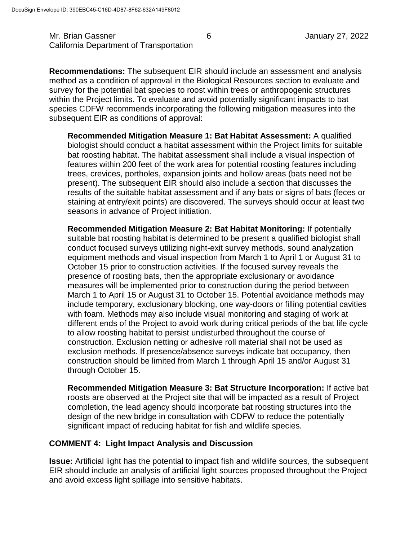Mr. Brian Gassner 6 1990 6 January 27, 2022 California Department of Transportation

**Recommendations:** The subsequent EIR should include an assessment and analysis method as a condition of approval in the Biological Resources section to evaluate and survey for the potential bat species to roost within trees or anthropogenic structures within the Project limits. To evaluate and avoid potentially significant impacts to bat species CDFW recommends incorporating the following mitigation measures into the subsequent EIR as conditions of approval:

**Recommended Mitigation Measure 1: Bat Habitat Assessment:** A qualified biologist should conduct a habitat assessment within the Project limits for suitable bat roosting habitat. The habitat assessment shall include a visual inspection of features within 200 feet of the work area for potential roosting features including trees, crevices, portholes, expansion joints and hollow areas (bats need not be present). The subsequent EIR should also include a section that discusses the results of the suitable habitat assessment and if any bats or signs of bats (feces or staining at entry/exit points) are discovered. The surveys should occur at least two seasons in advance of Project initiation.

**Recommended Mitigation Measure 2: Bat Habitat Monitoring:** If potentially suitable bat roosting habitat is determined to be present a qualified biologist shall conduct focused surveys utilizing night-exit survey methods, sound analyzation equipment methods and visual inspection from March 1 to April 1 or August 31 to October 15 prior to construction activities. If the focused survey reveals the presence of roosting bats, then the appropriate exclusionary or avoidance measures will be implemented prior to construction during the period between March 1 to April 15 or August 31 to October 15. Potential avoidance methods may include temporary, exclusionary blocking, one way-doors or filling potential cavities with foam. Methods may also include visual monitoring and staging of work at different ends of the Project to avoid work during critical periods of the bat life cycle to allow roosting habitat to persist undisturbed throughout the course of construction. Exclusion netting or adhesive roll material shall not be used as exclusion methods. If presence/absence surveys indicate bat occupancy, then construction should be limited from March 1 through April 15 and/or August 31 through October 15.

**Recommended Mitigation Measure 3: Bat Structure Incorporation:** If active bat roosts are observed at the Project site that will be impacted as a result of Project completion, the lead agency should incorporate bat roosting structures into the design of the new bridge in consultation with CDFW to reduce the potentially significant impact of reducing habitat for fish and wildlife species.

### **COMMENT 4: Light Impact Analysis and Discussion**

**Issue:** Artificial light has the potential to impact fish and wildlife sources, the subsequent EIR should include an analysis of artificial light sources proposed throughout the Project and avoid excess light spillage into sensitive habitats.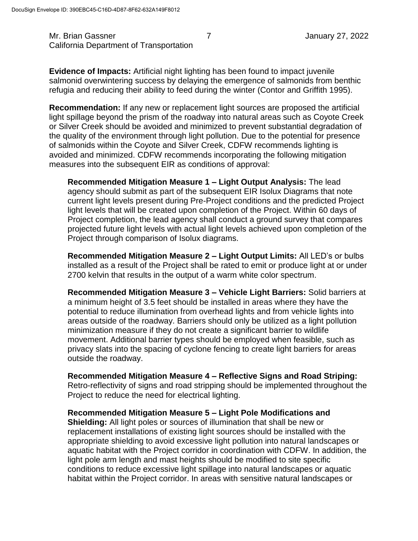Mr. Brian Gassner 7 7 January 27, 2022 California Department of Transportation

**Evidence of Impacts:** Artificial night lighting has been found to impact juvenile salmonid overwintering success by delaying the emergence of salmonids from benthic refugia and reducing their ability to feed during the winter (Contor and Griffith 1995).

**Recommendation:** If any new or replacement light sources are proposed the artificial light spillage beyond the prism of the roadway into natural areas such as Coyote Creek or Silver Creek should be avoided and minimized to prevent substantial degradation of the quality of the environment through light pollution. Due to the potential for presence of salmonids within the Coyote and Silver Creek, CDFW recommends lighting is avoided and minimized. CDFW recommends incorporating the following mitigation measures into the subsequent EIR as conditions of approval:

**Recommended Mitigation Measure 1 – Light Output Analysis:** The lead agency should submit as part of the subsequent EIR Isolux Diagrams that note current light levels present during Pre-Project conditions and the predicted Project light levels that will be created upon completion of the Project. Within 60 days of Project completion, the lead agency shall conduct a ground survey that compares projected future light levels with actual light levels achieved upon completion of the Project through comparison of Isolux diagrams.

**Recommended Mitigation Measure 2 – Light Output Limits:** All LED's or bulbs installed as a result of the Project shall be rated to emit or produce light at or under 2700 kelvin that results in the output of a warm white color spectrum.

**Recommended Mitigation Measure 3 – Vehicle Light Barriers:** Solid barriers at a minimum height of 3.5 feet should be installed in areas where they have the potential to reduce illumination from overhead lights and from vehicle lights into areas outside of the roadway. Barriers should only be utilized as a light pollution minimization measure if they do not create a significant barrier to wildlife movement. Additional barrier types should be employed when feasible, such as privacy slats into the spacing of cyclone fencing to create light barriers for areas outside the roadway.

**Recommended Mitigation Measure 4 – Reflective Signs and Road Striping:** Retro-reflectivity of signs and road stripping should be implemented throughout the Project to reduce the need for electrical lighting.

**Recommended Mitigation Measure 5 – Light Pole Modifications and** 

**Shielding:** All light poles or sources of illumination that shall be new or replacement installations of existing light sources should be installed with the appropriate shielding to avoid excessive light pollution into natural landscapes or aquatic habitat with the Project corridor in coordination with CDFW. In addition, the light pole arm length and mast heights should be modified to site specific conditions to reduce excessive light spillage into natural landscapes or aquatic habitat within the Project corridor. In areas with sensitive natural landscapes or